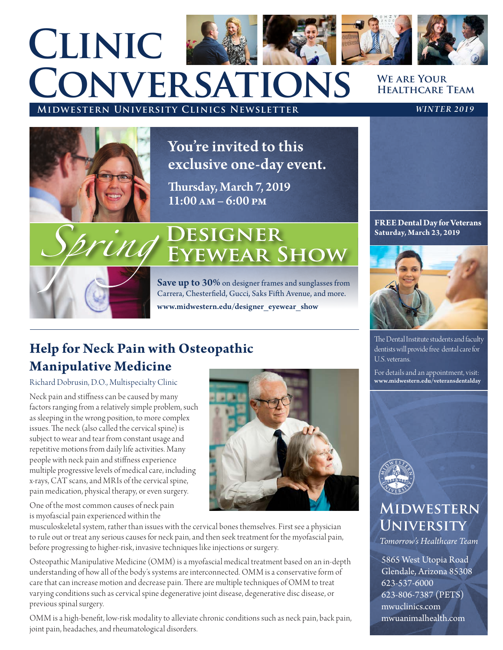# **Midwestern University Clinics Newsletter** *WINTER 2019* **Clinic Conversations**

#### **We are Your Healthcare Team**



bring

You're invited to this exclusive one-day event.

Thursday, March 7, 2019  $11:00 \text{ AM} - 6:00 \text{ PM}$ 

# **DESIGNER EYEWEAR SHOW**

Save up to 30% on designer frames and sunglasses from Carrera, Chesterfield, Gucci, Saks Fifth Avenue, and more. www.midwestern.edu/designer\_eyewear\_show

# **Help for Neck Pain with Osteopathic Manipulative Medicine**

Richard Dobrusin, D.O., Multispecialty Clinic

Neck pain and stiffness can be caused by many factors ranging from a relatively simple problem, such as sleeping in the wrong position, to more complex issues. The neck (also called the cervical spine) is subject to wear and tear from constant usage and repetitive motions from daily life activities. Many people with neck pain and stiffness experience multiple progressive levels of medical care, including x-rays, CAT scans, and MRIs of the cervical spine, pain medication, physical therapy, or even surgery.

One of the most common causes of neck pain is myofascial pain experienced within the

musculoskeletal system, rather than issues with the cervical bones themselves. First see a physician to rule out or treat any serious causes for neck pain, and then seek treatment for the myofascial pain, before progressing to higher-risk, invasive techniques like injections or surgery.

Osteopathic Manipulative Medicine (OMM) is a myofascial medical treatment based on an in-depth understanding of how all of the body's systems are interconnected. OMM is a conservative form of care that can increase motion and decrease pain. There are multiple techniques of OMM to treat varying conditions such as cervical spine degenerative joint disease, degenerative disc disease, or previous spinal surgery.

OMM is a high-benefit, low-risk modality to alleviate chronic conditions such as neck pain, back pain, joint pain, headaches, and rheumatological disorders.

#### **FREE Dental Day for Veterans Saturday, March 23, 2019**



The Dental Institute students and faculty dentists will provide free dental care for U.S. veterans.

For details and an appointment, visit: www.midwestern.edu/veteransdentalday



# **Midwestern University**

*Tomorrow's Healthcare Team*

5865 West Utopia Road Glendale, Arizona 85308 623-537-6000 623-806-7387 (PETS) mwuclinics.com mwuanimalhealth.com